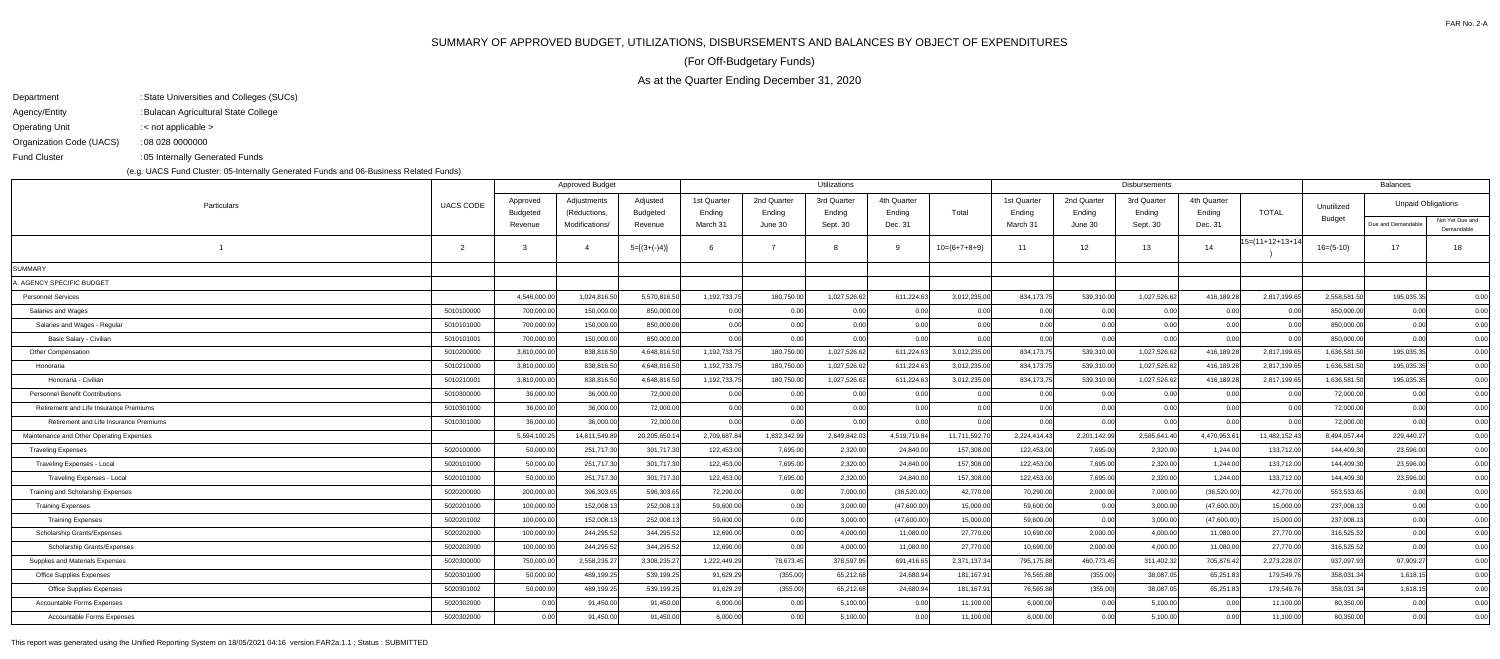## SUMMARY OF APPROVED BUDGET, UTILIZATIONS, DISBURSEMENTS AND BALANCES BY OBJECT OF EXPENDITURES

As at the Quarter Ending December 31, 2020

(For Off-Budgetary Funds)

| Department               | : State Universities and Colleges (SUCs) |
|--------------------------|------------------------------------------|
| Agency/Entity            | : Bulacan Agricultural State College     |
| <b>Operating Unit</b>    | : $\lt$ not applicable $\gt$             |
| Organization Code (UACS) | : 08 028 0000000                         |
| <b>Fund Cluster</b>      | :05 Internally Generated Funds           |

05 Internally Generated Funds:

(e.g. UACS Fund Cluster: 05-Internally Generated Funds and 06-Business Related Funds)

| Adjustments<br>Adjusted<br>1st Quarter<br>2nd Quarter<br>3rd Quarter<br>4th Quarter<br>1st Quarter<br>2nd Quarter<br>3rd Quarter<br>4th Quarter<br>Approved<br><b>Unpaid Obligations</b><br><b>UACS CODE</b><br>Particulars<br>Unutilized<br><b>TOTAL</b><br>Total<br>Ending<br><b>Budgeted</b><br>(Reductions,<br><b>Budgeted</b><br>Ending<br>Ending<br>Ending<br>Ending<br>Ending<br>Ending<br>Ending<br>Budget<br>Modifications/<br>March 31<br>June 30<br>Sept. 30<br>Dec. 31<br>Dec. 31<br>Due and Demandable<br>Revenue<br>Revenue<br>March 31<br>June 30<br>Sept. 30<br>$15=(11+12+13+14)$<br>$\overline{2}$<br>$5=[(3+(-)4)]$<br>12 <sup>12</sup><br>$16=(5-10)$<br>17 <sup>2</sup><br>3<br>$10=(6+7+8+9)$<br>13<br>14<br>$\overline{4}$<br>11<br>SUMMARY<br>A. AGENCY SPECIFIC BUDGET<br>4,546,000.00<br>1,024,816.50<br>1,192,733.75<br>180,750.00<br>1,027,526.62<br>611,224.63<br>3,012,235.00<br>539,310.00<br>1,027,526.62<br>416,189.28<br>2,817,199.65<br>2,558,581.50<br>195,035.35<br><b>Personnel Services</b><br>5,570,816.50<br>834,173.75<br>5010100000<br>700,000.00<br>150,000.00<br>850,000.00<br>0.00<br>0.00<br>0.00<br>850,000.00<br>0.00<br>0.00<br>0.00<br>0.00<br>0.00<br>0.00<br>0.00<br>0.00<br>Salaries and Wages<br>700,000.00<br>Salaries and Wages - Regular<br>5010101000<br>150,000.00<br>850,000.00<br>0.00<br>0.00<br>0.00<br>0.00<br>0.00<br>0.00<br>0.00<br>850,000.00<br>0.00<br>0.00<br>0.00<br>0.00<br>700,000.00<br>150,000.00<br>850,000.00<br>0.00<br>0.00<br>0.00<br>0.00<br>0.00<br>0.00<br>0.00<br>0.00<br>0.00<br>850,000.00<br>0.00<br>Basic Salary - Civilian<br>5010101001<br>0.00<br>3,810,000.00<br>4,648,816.50<br>1,192,733.75<br>180,750.00<br>1,027,526.62<br>539,310.00<br>1,027,526.62<br>416,189.28<br>2,817,199.65<br>5010200000<br>838,816.50<br>611,224.63<br>3,012,235.00<br>834,173.75<br>1,636,581.50<br>195,035.35<br>Other Compensation<br>5010210000<br>3,810,000.00<br>4,648,816.50<br>1,192,733.75<br>180,750.00<br>1,027,526.62<br>611,224.63<br>3,012,235.00<br>834, 173.7<br>1,027,526.62<br>416,189.28<br>2,817,199.65<br>1,636,581.50<br>195,035.35<br>838,816.50<br>539,310.00<br>Honoraria |                               |
|--------------------------------------------------------------------------------------------------------------------------------------------------------------------------------------------------------------------------------------------------------------------------------------------------------------------------------------------------------------------------------------------------------------------------------------------------------------------------------------------------------------------------------------------------------------------------------------------------------------------------------------------------------------------------------------------------------------------------------------------------------------------------------------------------------------------------------------------------------------------------------------------------------------------------------------------------------------------------------------------------------------------------------------------------------------------------------------------------------------------------------------------------------------------------------------------------------------------------------------------------------------------------------------------------------------------------------------------------------------------------------------------------------------------------------------------------------------------------------------------------------------------------------------------------------------------------------------------------------------------------------------------------------------------------------------------------------------------------------------------------------------------------------------------------------------------------------------------------------------------------------------------------------------------------------------------------------------------------------------------------------------------------------------------------------------------------------------------------------------------------------------------------------------------------------|-------------------------------|
|                                                                                                                                                                                                                                                                                                                                                                                                                                                                                                                                                                                                                                                                                                                                                                                                                                                                                                                                                                                                                                                                                                                                                                                                                                                                                                                                                                                                                                                                                                                                                                                                                                                                                                                                                                                                                                                                                                                                                                                                                                                                                                                                                                                |                               |
|                                                                                                                                                                                                                                                                                                                                                                                                                                                                                                                                                                                                                                                                                                                                                                                                                                                                                                                                                                                                                                                                                                                                                                                                                                                                                                                                                                                                                                                                                                                                                                                                                                                                                                                                                                                                                                                                                                                                                                                                                                                                                                                                                                                | Not Yet Due and<br>Demandable |
|                                                                                                                                                                                                                                                                                                                                                                                                                                                                                                                                                                                                                                                                                                                                                                                                                                                                                                                                                                                                                                                                                                                                                                                                                                                                                                                                                                                                                                                                                                                                                                                                                                                                                                                                                                                                                                                                                                                                                                                                                                                                                                                                                                                | 18                            |
|                                                                                                                                                                                                                                                                                                                                                                                                                                                                                                                                                                                                                                                                                                                                                                                                                                                                                                                                                                                                                                                                                                                                                                                                                                                                                                                                                                                                                                                                                                                                                                                                                                                                                                                                                                                                                                                                                                                                                                                                                                                                                                                                                                                |                               |
|                                                                                                                                                                                                                                                                                                                                                                                                                                                                                                                                                                                                                                                                                                                                                                                                                                                                                                                                                                                                                                                                                                                                                                                                                                                                                                                                                                                                                                                                                                                                                                                                                                                                                                                                                                                                                                                                                                                                                                                                                                                                                                                                                                                |                               |
|                                                                                                                                                                                                                                                                                                                                                                                                                                                                                                                                                                                                                                                                                                                                                                                                                                                                                                                                                                                                                                                                                                                                                                                                                                                                                                                                                                                                                                                                                                                                                                                                                                                                                                                                                                                                                                                                                                                                                                                                                                                                                                                                                                                | 0.00                          |
|                                                                                                                                                                                                                                                                                                                                                                                                                                                                                                                                                                                                                                                                                                                                                                                                                                                                                                                                                                                                                                                                                                                                                                                                                                                                                                                                                                                                                                                                                                                                                                                                                                                                                                                                                                                                                                                                                                                                                                                                                                                                                                                                                                                | 0.00                          |
|                                                                                                                                                                                                                                                                                                                                                                                                                                                                                                                                                                                                                                                                                                                                                                                                                                                                                                                                                                                                                                                                                                                                                                                                                                                                                                                                                                                                                                                                                                                                                                                                                                                                                                                                                                                                                                                                                                                                                                                                                                                                                                                                                                                | 0.00                          |
|                                                                                                                                                                                                                                                                                                                                                                                                                                                                                                                                                                                                                                                                                                                                                                                                                                                                                                                                                                                                                                                                                                                                                                                                                                                                                                                                                                                                                                                                                                                                                                                                                                                                                                                                                                                                                                                                                                                                                                                                                                                                                                                                                                                | 0.00                          |
|                                                                                                                                                                                                                                                                                                                                                                                                                                                                                                                                                                                                                                                                                                                                                                                                                                                                                                                                                                                                                                                                                                                                                                                                                                                                                                                                                                                                                                                                                                                                                                                                                                                                                                                                                                                                                                                                                                                                                                                                                                                                                                                                                                                | 0.00                          |
|                                                                                                                                                                                                                                                                                                                                                                                                                                                                                                                                                                                                                                                                                                                                                                                                                                                                                                                                                                                                                                                                                                                                                                                                                                                                                                                                                                                                                                                                                                                                                                                                                                                                                                                                                                                                                                                                                                                                                                                                                                                                                                                                                                                | 0.00                          |
| 3,810,000.00<br>1,192,733.75<br>180,750.00<br>1,027,526.62<br>539,310.00<br>1,027,526.62<br>2,817,199.65<br>195,035.35<br>Honoraria - Civilian<br>5010210001<br>838,816.50<br>4,648,816.50<br>611,224.63<br>3,012,235.00<br>834,173.75<br>416,189.28<br>1,636,581.50                                                                                                                                                                                                                                                                                                                                                                                                                                                                                                                                                                                                                                                                                                                                                                                                                                                                                                                                                                                                                                                                                                                                                                                                                                                                                                                                                                                                                                                                                                                                                                                                                                                                                                                                                                                                                                                                                                           | 0.00                          |
| 5010300000<br>36,000.00<br>36,000.00<br>72,000.00<br>0.00<br>0.00<br>72,000.00<br>0.00<br><b>Personnel Benefit Contributions</b><br>0.00<br>0.00<br>0.00<br>0.00<br>0.00<br>0.00<br>0.00<br>0.00                                                                                                                                                                                                                                                                                                                                                                                                                                                                                                                                                                                                                                                                                                                                                                                                                                                                                                                                                                                                                                                                                                                                                                                                                                                                                                                                                                                                                                                                                                                                                                                                                                                                                                                                                                                                                                                                                                                                                                               | 0.00                          |
| 36,000.00<br>0.00<br>Retirement and Life Insurance Premiums<br>5010301000<br>36,000.00<br>72,000.00<br>0.00<br>0.00<br>0.00<br>0.00<br>0.00<br>0.00<br>0.00<br>0.00<br>0.00<br>72,000.00<br>0.00                                                                                                                                                                                                                                                                                                                                                                                                                                                                                                                                                                                                                                                                                                                                                                                                                                                                                                                                                                                                                                                                                                                                                                                                                                                                                                                                                                                                                                                                                                                                                                                                                                                                                                                                                                                                                                                                                                                                                                               | 0.00                          |
| 0.00<br>36,000.00<br>36,000.00<br>72,000.00<br>0.00<br>0.00<br>0.00<br>0.00<br>0.00<br>0.00<br>0.00<br>0.00<br>0.00<br>72,000.00<br>0.00<br>Retirement and Life Insurance Premiums<br>5010301000                                                                                                                                                                                                                                                                                                                                                                                                                                                                                                                                                                                                                                                                                                                                                                                                                                                                                                                                                                                                                                                                                                                                                                                                                                                                                                                                                                                                                                                                                                                                                                                                                                                                                                                                                                                                                                                                                                                                                                               | 0.00                          |
| 5,594,100.25<br>14,611,549.89<br>2,709,687.84<br>1,832,342.99<br>2,649,842.03<br>4,519,719.84<br>2,585,641.40<br>4,470,953.6<br>11,482,152.43<br>8,494,057.44<br>229,440.27<br>Maintenance and Other Operating Expenses<br>20,205,650.14<br>11,711,592.70<br>2,224,414.43<br>2,201,142.99                                                                                                                                                                                                                                                                                                                                                                                                                                                                                                                                                                                                                                                                                                                                                                                                                                                                                                                                                                                                                                                                                                                                                                                                                                                                                                                                                                                                                                                                                                                                                                                                                                                                                                                                                                                                                                                                                      | 0.00                          |
| 5020100000<br>50,000.00<br>251,717.30<br>301,717.30<br>122,453.00<br>7,695.00<br>2,320.00<br>157,308.00<br>122,453.00<br>7,695.00<br>2,320.00<br>1,244.00<br>133,712.00<br>144,409.30<br>23,596.00<br><b>Traveling Expenses</b><br>24,840.00                                                                                                                                                                                                                                                                                                                                                                                                                                                                                                                                                                                                                                                                                                                                                                                                                                                                                                                                                                                                                                                                                                                                                                                                                                                                                                                                                                                                                                                                                                                                                                                                                                                                                                                                                                                                                                                                                                                                   | 0.00                          |
| 50,000.00<br>251,717.30<br>301,717.30<br>122,453.00<br>7,695.00<br>2,320.00<br>122,453.00<br>7,695.00<br>133,712.00<br>5020101000<br>24,840.00<br>157,308.00<br>2,320.00<br>1.244.00<br>144,409.30<br>23,596.00<br>Traveling Expenses - Local                                                                                                                                                                                                                                                                                                                                                                                                                                                                                                                                                                                                                                                                                                                                                                                                                                                                                                                                                                                                                                                                                                                                                                                                                                                                                                                                                                                                                                                                                                                                                                                                                                                                                                                                                                                                                                                                                                                                  | 0.00                          |
| 50,000.00<br>301,717.30<br>7,695.00<br>2,320.00<br>7,695.00<br>2,320.00<br>23,596.00<br>Traveling Expenses - Local<br>5020101000<br>251,717.30<br>122,453.00<br>24,840.00<br>157,308.00<br>122,453.00<br>1,244.00<br>133,712.00<br>144,409.30                                                                                                                                                                                                                                                                                                                                                                                                                                                                                                                                                                                                                                                                                                                                                                                                                                                                                                                                                                                                                                                                                                                                                                                                                                                                                                                                                                                                                                                                                                                                                                                                                                                                                                                                                                                                                                                                                                                                  | 0.00                          |
| 200,000.00<br>596,303.65<br>7,000.00<br>2,000.00<br>(36,520.00)<br>42,770.00<br>553,533.65<br>Training and Scholarship Expenses<br>5020200000<br>396,303.65<br>72,290.00<br>0.00<br>(36,520.00)<br>42,770.00<br>70,290.00<br>7,000.00<br>0.00                                                                                                                                                                                                                                                                                                                                                                                                                                                                                                                                                                                                                                                                                                                                                                                                                                                                                                                                                                                                                                                                                                                                                                                                                                                                                                                                                                                                                                                                                                                                                                                                                                                                                                                                                                                                                                                                                                                                  | 0.00                          |
| 100,000.00<br>5020201000<br>152,008.13<br>252,008.13<br>59,600.00<br>0.00<br>3,000.00<br>(47,600.00)<br>15,000.00<br>59,600.00<br>0.00<br>3,000.00<br>(47,600.00)<br>15,000.00<br>237,008.13<br>0.00<br><b>Training Expenses</b>                                                                                                                                                                                                                                                                                                                                                                                                                                                                                                                                                                                                                                                                                                                                                                                                                                                                                                                                                                                                                                                                                                                                                                                                                                                                                                                                                                                                                                                                                                                                                                                                                                                                                                                                                                                                                                                                                                                                               | 0.00                          |
| 100,000.00<br>152,008.13<br>252,008.13<br>59,600.00<br>3,000.00<br>59,600.00<br>(47,600.00)<br>15,000.00<br>0.00<br>5020201002<br>0.00<br>(47,600.00)<br>15,000.00<br>0.00<br>3,000.00<br>237,008.13<br><b>Training Expenses</b>                                                                                                                                                                                                                                                                                                                                                                                                                                                                                                                                                                                                                                                                                                                                                                                                                                                                                                                                                                                                                                                                                                                                                                                                                                                                                                                                                                                                                                                                                                                                                                                                                                                                                                                                                                                                                                                                                                                                               | 0.00                          |
| 100,000.00<br>27,770.00<br>Scholarship Grants/Expenses<br>5020202000<br>244,295.52<br>344,295.52<br>12,690.00<br>0.00<br>4,000.00<br>11,080.00<br>27,770.00<br>10,690.00<br>2,000.00<br>4,000.00<br>11,080.00<br>316,525.52<br>0.00                                                                                                                                                                                                                                                                                                                                                                                                                                                                                                                                                                                                                                                                                                                                                                                                                                                                                                                                                                                                                                                                                                                                                                                                                                                                                                                                                                                                                                                                                                                                                                                                                                                                                                                                                                                                                                                                                                                                            | 0.00                          |
| 27,770.00<br>Scholarship Grants/Expenses<br>100,000.00<br>244,295.52<br>344,295.52<br>12,690.00<br>0.00<br>4,000.00<br>11,080.00<br>27,770.00<br>10,690.00<br>2,000.00<br>4,000.00<br>11,080.00<br>316,525.52<br>0.00<br>5020202000                                                                                                                                                                                                                                                                                                                                                                                                                                                                                                                                                                                                                                                                                                                                                                                                                                                                                                                                                                                                                                                                                                                                                                                                                                                                                                                                                                                                                                                                                                                                                                                                                                                                                                                                                                                                                                                                                                                                            | 0.00                          |
| 1,222,449.29<br>378,597.95<br>311,402.32<br>Supplies and Materials Expenses<br>750,000.00<br>2,558,235.27<br>3,308,235.27<br>78,673.45<br>691,416.65<br>2,371,137.34<br>795,175.88<br>460,773.45<br>705,876.42<br>2,273,228.07<br>937,097.93<br>97,909.27<br>5020300000                                                                                                                                                                                                                                                                                                                                                                                                                                                                                                                                                                                                                                                                                                                                                                                                                                                                                                                                                                                                                                                                                                                                                                                                                                                                                                                                                                                                                                                                                                                                                                                                                                                                                                                                                                                                                                                                                                        | 0.00                          |
| 50,000.00<br><b>Office Supplies Expenses</b><br>489,199.25<br>539,199.25<br>91,629.29<br>(355.00)<br>65,212.68<br>24,680.94<br>181,167.91<br>76,565.88<br>(355.00)<br>38,087.05<br>65,251.83<br>179,549.76<br>358,031.34<br>1,618.15<br>5020301000                                                                                                                                                                                                                                                                                                                                                                                                                                                                                                                                                                                                                                                                                                                                                                                                                                                                                                                                                                                                                                                                                                                                                                                                                                                                                                                                                                                                                                                                                                                                                                                                                                                                                                                                                                                                                                                                                                                             | 0.00                          |
| <b>Office Supplies Expenses</b><br>5020301002<br>50,000.00<br>489,199.25<br>539,199.25<br>91,629.29<br>(355.00)<br>65,212.68<br>181,167.91<br>76,565.88<br>(355.00)<br>38,087.05<br>65,251.83<br>179,549.76<br>358,031.34<br>1,618.15<br>24,680.94                                                                                                                                                                                                                                                                                                                                                                                                                                                                                                                                                                                                                                                                                                                                                                                                                                                                                                                                                                                                                                                                                                                                                                                                                                                                                                                                                                                                                                                                                                                                                                                                                                                                                                                                                                                                                                                                                                                             | 0.00                          |
| 0.00<br>91,450.00<br>6,000.00<br>5,100.00<br>6,000.00<br>80,350.00<br>0.00<br>Accountable Forms Expenses<br>91,450.00<br>0.00<br>0.00<br>11,100.00<br>0.00<br>5,100.00<br>0.00<br>11,100.00<br>5020302000                                                                                                                                                                                                                                                                                                                                                                                                                                                                                                                                                                                                                                                                                                                                                                                                                                                                                                                                                                                                                                                                                                                                                                                                                                                                                                                                                                                                                                                                                                                                                                                                                                                                                                                                                                                                                                                                                                                                                                      | 0.00                          |
| 0.00<br>6,000.00<br>5,100.00<br>6,000.00<br>Accountable Forms Expenses<br>5020302000<br>91,450.00<br>91,450.00<br>0.00<br>0.00<br>11,100.00<br>0.00<br>5,100.00<br>0.00<br>11,100.00<br>80,350.00<br>0.00                                                                                                                                                                                                                                                                                                                                                                                                                                                                                                                                                                                                                                                                                                                                                                                                                                                                                                                                                                                                                                                                                                                                                                                                                                                                                                                                                                                                                                                                                                                                                                                                                                                                                                                                                                                                                                                                                                                                                                      | 0.00                          |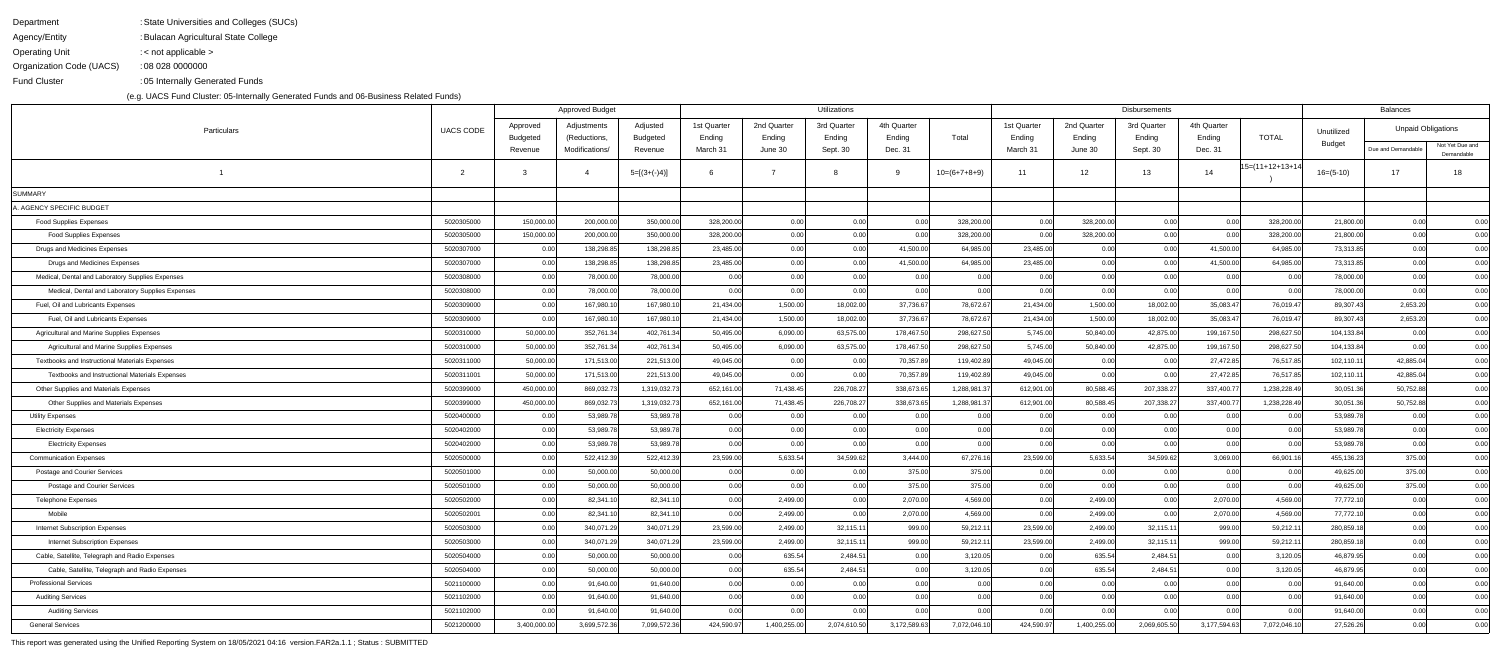| Department               | : State Universities and Colleges (SUCs) |
|--------------------------|------------------------------------------|
| Agency/Entity            | : Bulacan Agricultural State College     |
| <b>Operating Unit</b>    | : $\lt$ not applicable $\gt$             |
| Organization Code (UACS) | : 08 028 0000000                         |
| <b>Fund Cluster</b>      | :05 Internally Generated Funds           |

|                                                  |                  | <b>Approved Budget</b> |                             |                             | Utilizations          |                       |                       |                       |                   |                       | Disbursements         |                       |                       |                   |             |                           |                               |
|--------------------------------------------------|------------------|------------------------|-----------------------------|-----------------------------|-----------------------|-----------------------|-----------------------|-----------------------|-------------------|-----------------------|-----------------------|-----------------------|-----------------------|-------------------|-------------|---------------------------|-------------------------------|
| Particulars                                      | <b>UACS CODE</b> | Approved<br>Budgeted   | Adjustments<br>(Reductions, | Adjusted<br><b>Budgeted</b> | 1st Quarter<br>Ending | 2nd Quarter<br>Ending | 3rd Quarter<br>Ending | 4th Quarter<br>Ending | Total             | 1st Quarter<br>Ending | 2nd Quarter<br>Ending | 3rd Quarter<br>Ending | 4th Quarter<br>Ending | <b>TOTAL</b>      | Unutilized  | <b>Unpaid Obligations</b> |                               |
|                                                  |                  | Revenue                | Modifications/              | Revenue                     | March 31              | June 30               | Sept. 30              | Dec. 31               |                   | March 31              | June 30               | Sept. 30              | Dec. 31               |                   | Budget      | Due and Demandable        | Not Yet Due and<br>Demandable |
|                                                  | $\overline{2}$   |                        |                             | $5=[(3+(-)4)]$              |                       |                       |                       |                       | $10=(6+7+8+9)$    | 11                    | 12                    | 13                    | 14                    | $15=(11+12+13+1)$ | $16=(5-10)$ | 17                        | 18                            |
| SUMMARY                                          |                  |                        |                             |                             |                       |                       |                       |                       |                   |                       |                       |                       |                       |                   |             |                           |                               |
| . AGENCY SPECIFIC BUDGET                         |                  |                        |                             |                             |                       |                       |                       |                       |                   |                       |                       |                       |                       |                   |             |                           |                               |
| <b>Food Supplies Expenses</b>                    | 5020305000       | 150,000.00             | 200,000.00                  | 350,000.00                  | 328,200.00            | 0.00                  | 0.00                  | 0.00                  | 328,200.00        | 0.00                  | 328,200.00            | 0.00                  | 0.00                  | 328,200.00        | 21,800.00   | 0.00                      | 0.00                          |
| <b>Food Supplies Expenses</b>                    | 5020305000       | 150,000.00             | 200,000.00                  | 350,000.00                  | 328,200.00            | 0.00                  | 0.00                  | 0.00                  | 328,200.00        | 0.00                  | 328,200.00            | 0.00                  | 0.00                  | 328,200.00        | 21,800.00   | 0.00                      | 0.00                          |
| Drugs and Medicines Expenses                     | 5020307000       | 0.00                   | 138,298.85                  | 138,298.85                  | 23,485.00             | 0.00                  | 0.00                  | 41,500.00             | 64,985.00         | 23,485.00             | 0.00                  | 0.00                  | 41,500.00             | 64,985.00         | 73,313.85   | 0.00                      | 0.00                          |
| Drugs and Medicines Expenses                     | 5020307000       | 0.00                   | 138,298.85                  | 138,298.85                  | 23,485.00             | 0.00                  | 0.00                  | 41,500.00             | 64,985.00         | 23,485.00             | 0.00                  | 0.00                  | 41,500.00             | 64,985.00         | 73,313.85   | 0.00                      | 0.00                          |
| Medical, Dental and Laboratory Supplies Expenses | 5020308000       | 0.00                   | 78,000.00                   | 78,000.00                   | 0.00                  | 0.00                  | 0.00                  | 0.00                  | 0.00              | 0.00                  | 0.00                  | 0.00                  | 0.00                  | 0.00              | 78,000.00   | 0.00                      | 0.00                          |
| Medical, Dental and Laboratory Supplies Expenses | 5020308000       | 0.00                   | 78,000.00                   | 78,000.00                   | 0.00                  | 0.00                  | 0.00                  | 0.00                  | 0.00 <sub>l</sub> | 0.00                  | 0.00                  | 0.00                  | 0.00                  | 0.00              | 78,000.00   | 0.00                      | 0.00                          |
| Fuel, Oil and Lubricants Expenses                | 5020309000       | 0.00                   | 167,980.10                  | 167,980.10                  | 21,434.00             | 1,500.00              | 18,002.00             | 37,736.67             | 78,672.67         | 21,434.00             | 1,500.00              | 18,002.00             | 35,083.47             | 76,019.47         | 89,307.43   | 2,653.20                  | 0.00                          |
| Fuel, Oil and Lubricants Expenses                | 5020309000       | 0.00                   | 167,980.10                  | 167,980.10                  | 21,434.00             | 1,500.00              | 18,002.00             | 37,736.67             | 78,672.67         | 21,434.00             | 1,500.00              | 18,002.00             | 35,083.47             | 76,019.47         | 89,307.43   | 2,653.20                  | 0.00                          |
| Agricultural and Marine Supplies Expenses        | 5020310000       | 50,000.00              | 352,761.34                  | 402,761.34                  | 50,495.00             | 6,090.00              | 63,575.00             | 178,467.50            | 298,627.50        | 5,745.00              | 50,840.00             | 42,875.00             | 199,167.50            | 298,627.50        | 104,133.84  | 0.00                      | 0.00                          |
| Agricultural and Marine Supplies Expenses        | 5020310000       | 50,000.00              | 352,761.34                  | 402,761.34                  | 50,495.00             | 6,090.00              | 63,575.00             | 178,467.50            | 298,627.50        | 5,745.00              | 50,840.00             | 42,875.00             | 199,167.50            | 298,627.50        | 104,133.84  | 0.00                      | 0.00                          |
| Textbooks and Instructional Materials Expenses   | 5020311000       | 50,000.00              | 171,513.00                  | 221,513.00                  | 49,045.00             | 0.00                  | 0.00                  | 70,357.89             | 119,402.89        | 49,045.00             | 0.00                  | 0.00                  | 27,472.85             | 76,517.85         | 102,110.11  | 42,885.04                 | 0.00                          |
| Textbooks and Instructional Materials Expenses   | 5020311001       | 50,000.00              | 171,513.00                  | 221,513.00                  | 49,045.00             | 0.00                  | 0.00                  | 70,357.89             | 119,402.89        | 49,045.00             | 0.00                  | 0.00                  | 27,472.85             | 76,517.85         | 102,110.11  | 42,885.04                 | 0.00                          |
| Other Supplies and Materials Expenses            | 5020399000       | 450,000.00             | 869,032.73                  | 1,319,032.73                | 652,161.00            | 71,438.45             | 226,708.2             | 338,673.65            | 1,288,981.37      | 612,901.00            | 80,588.45             | 207,338.27            | 337,400.77            | 1,238,228.49      | 30,051.36   | 50,752.88                 | 0.00                          |
| Other Supplies and Materials Expenses            | 5020399000       | 450,000.00             | 869,032.73                  | 1,319,032.73                | 652,161.00            | 71,438.45             | 226,708.2             | 338,673.65            | 1,288,981.37      | 612,901.00            | 80,588.45             | 207,338.27            | 337,400.7             | 1,238,228.49      | 30,051.36   | 50,752.88                 | 0.00                          |
| <b>Utility Expenses</b>                          | 5020400000       | 0.00                   | 53,989.78                   | 53,989.78                   | 0.00                  | 0.00                  | 0.00                  | 0.00                  | 0.00              | 0.00                  | 0.00                  | 0.00                  | 0.00                  | 0.00              | 53,989.78   | 0.00                      | 0.00                          |
| <b>Electricity Expenses</b>                      | 5020402000       | 0.00                   | 53,989.78                   | 53,989.78                   | 0.00                  | 0.00                  | 0.00                  | 0.00                  | 0.00              | 0.00                  | 0.00                  | 0.00                  | 0.00                  | 0.00              | 53,989.78   | 0.00                      | 0.00                          |
| <b>Electricity Expenses</b>                      | 5020402000       | 0.00                   | 53,989.78                   | 53,989.78                   | 0.00                  | 0.00                  | 0.00                  | 0.00                  | 0.00              | 0.00                  | 0.00                  | 0.00                  | 0.00                  | 0.00              | 53,989.78   | 0.00                      | 0.00                          |
| <b>Communication Expenses</b>                    | 5020500000       | 0.00                   | 522,412.39                  | 522,412.39                  | 23,599.00             | 5,633.54              | 34,599.62             | 3,444.00              | 67,276.16         | 23,599.00             | 5,633.54              | 34,599.62             | 3,069.00              | 66,901.1          | 455,136.23  | 375.00                    | 0.00                          |
| Postage and Courier Services                     | 5020501000       | 0.00                   | 50,000.00                   | 50,000.00                   | 0.00                  | 0.00                  | 0.00                  | 375.00                | 375.00            | 0.00                  | 0.00                  | 0.00                  | 0.00                  | 0.00              | 49,625.00   | 375.00                    | 0.00                          |
| Postage and Courier Services                     | 5020501000       | 0.00                   | 50,000.00                   | 50,000.00                   | 0.00                  | 0.001                 | 0.00                  | 375.00                | 375.00            | 0.00                  | 0.00                  | 0.00                  | 0.00                  | 0.00              | 49,625.00   | 375.00                    | 0.00                          |
| <b>Telephone Expenses</b>                        | 5020502000       | 0.00                   | 82,341.10                   | 82,341.10                   | 0.00                  | 2,499.00              | 0.00                  | 2,070.00              | 4,569.00          | 0.00                  | 2,499.00              | 0.00                  | 2,070.00              | 4,569.00          | 77,772.10   | 0.00                      | 0.00                          |
| Mobile                                           | 5020502001       | 0.00                   | 82,341.10                   | 82,341.10                   | 0.00                  | 2,499.00              | 0.00                  | 2,070.00              | 4,569.00          | 0.00                  | 2,499.00              | 0.00                  | 2,070.00              | 4,569.00          | 77,772.10   | 0.00                      | 0.00                          |
| <b>Internet Subscription Expenses</b>            | 5020503000       | 0.00                   | 340,071.29                  | 340,071.29                  | 23,599.00             | 2,499.00              | 32,115.1              | 999.00                | 59,212.11         | 23,599.00             | 2,499.00              | 32,115.11             | 999.00                | 59,212.1          | 280,859.18  | 0.00                      | 0.00                          |
| <b>Internet Subscription Expenses</b>            | 5020503000       | 0.00                   | 340,071.29                  | 340,071.29                  | 23,599.00             | 2,499.00              | 32,115.1              | 999.00                | 59,212.11         | 23,599.00             | 2,499.00              | 32,115.11             | 999.00                | 59,212.1          | 280,859.18  | 0.00                      | 0.00                          |
| Cable, Satellite, Telegraph and Radio Expenses   | 5020504000       | 0.00                   | 50,000.00                   | 50,000.00                   | 0.00                  | 635.54                | 2,484.5               | 0.00                  | 3,120.05          | 0.00                  | 635.54                | 2,484.51              | 0.00                  | 3,120.05          | 46,879.95   | 0.00                      | 0.00                          |
| Cable, Satellite, Telegraph and Radio Expenses   | 5020504000       | 0.00                   | 50,000.00                   | 50,000.00                   | 0.00                  | 635.54                | 2,484.5               | 0.00                  | 3,120.05          | 0.00                  | 635.54                | 2,484.51              | 0.00                  | 3,120.05          | 46,879.95   | 0.00                      | 0.00                          |
| <b>Professional Services</b>                     | 5021100000       | 0.00                   | 91,640.00                   | 91,640.00                   | 0.00                  | 0.00                  | 0.00                  | 0.00                  | 0.00              | 0.00                  | 0.00                  | 0.00                  | 0.00                  | 0.00              | 91,640.00   | 0.00                      | 0.00                          |
| <b>Auditing Services</b>                         | 5021102000       | 0.00                   | 91,640.00                   | 91,640.00                   | 0.00                  | 0.00                  | 0.00                  | 0.00                  | 0.00 <sub>l</sub> | 0.00                  | 0.00                  | 0.00                  | 0.00                  | 0.00              | 91,640.00   | 0.00                      | 0.00                          |
| <b>Auditing Services</b>                         | 5021102000       | 0.00                   | 91,640.00                   | 91,640.00                   | 0.00                  | 0.00                  | 0.00                  | 0.00                  | 0.00              | 0.00                  | 0.00                  | 0.00                  | 0.00                  | 0.00              | 91,640.00   | 0.00                      | 0.00                          |
| <b>General Services</b>                          | 5021200000       | 3,400,000.00           | 3,699,572.36                | 7,099,572.36                | 424,590.97            | 1,400,255.00          | 2,074,610.50          | 3,172,589.63          | 7,072,046.10      | 424,590.97            | 1,400,255.00          | 2,069,605.50          | 3,177,594.63          | 7,072,046.1       | 27,526.26   | 0.00                      | 0.00                          |

This report was generated using the Unified Reporting System on 18/05/2021 04:16 version.FAR2a.1.1 ; Status : SUBMITTED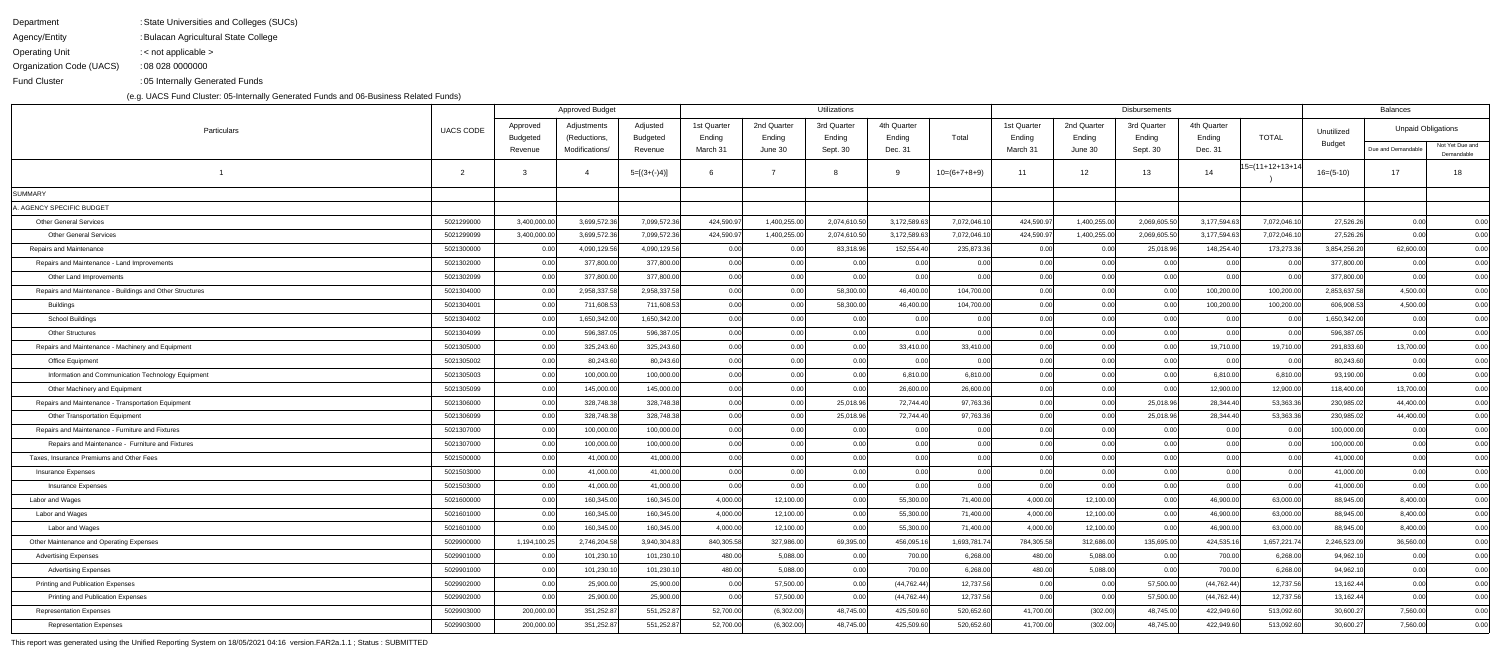| Department               | : State Universities and Colleges (SUCs) |
|--------------------------|------------------------------------------|
| Agency/Entity            | : Bulacan Agricultural State College     |
| <b>Operating Unit</b>    | : $\lt$ not applicable $\gt$             |
| Organization Code (UACS) | : 08 028 0000000                         |
| <b>Fund Cluster</b>      | :05 Internally Generated Funds           |

|                                                          |                  | <b>Approved Budget</b> |                             |                             | Utilizations          |                       |                       |                       |                |                       | <b>Disbursements</b>  |                       |                       |                |              |                           |                               |
|----------------------------------------------------------|------------------|------------------------|-----------------------------|-----------------------------|-----------------------|-----------------------|-----------------------|-----------------------|----------------|-----------------------|-----------------------|-----------------------|-----------------------|----------------|--------------|---------------------------|-------------------------------|
| Particulars                                              | <b>UACS CODE</b> | Approved<br>Budgeted   | Adjustments<br>(Reductions, | Adjusted<br><b>Budgeted</b> | 1st Quarter<br>Ending | 2nd Quarter<br>Ending | 3rd Quarter<br>Ending | 4th Quarter<br>Ending | Total          | 1st Quarter<br>Ending | 2nd Quarter<br>Ending | 3rd Quarter<br>Ending | 4th Quarter<br>Ending | <b>TOTAL</b>   | Unutilized   | <b>Unpaid Obligations</b> |                               |
|                                                          |                  | Revenue                | Modifications/              | Revenue                     | March 31              | June 30               | Sept. 30              | Dec. 31               |                | March 31              | June 30               | Sept. 30              | Dec. 31               |                | Budget       | Due and Demandable        | Not Yet Due and<br>Demandable |
|                                                          | $\overline{2}$   |                        |                             | $5=[(3+(-)4)]$              |                       |                       |                       |                       | $10=(6+7+8+9)$ | 11                    | 12                    | 13                    | 14                    | 15=(11+12+13+1 | $16=(5-10)$  | 17                        | 18                            |
| SUMMARY                                                  |                  |                        |                             |                             |                       |                       |                       |                       |                |                       |                       |                       |                       |                |              |                           |                               |
| . AGENCY SPECIFIC BUDGET                                 |                  |                        |                             |                             |                       |                       |                       |                       |                |                       |                       |                       |                       |                |              |                           |                               |
| <b>Other General Services</b>                            | 5021299000       | 3,400,000.00           | 3,699,572.36                | 7,099,572.36                | 424,590.97            | 1,400,255.00          | 2,074,610.50          | 3,172,589.63          | 7,072,046.10   | 424,590.97            | 1,400,255.00          | 2,069,605.50          | 3,177,594.63          | 7,072,046.1    | 27,526.26    | 0.00                      | 0.00                          |
| <b>Other General Services</b>                            | 5021299099       | 3,400,000.00           | 3,699,572.36                | 7,099,572.36                | 424,590.97            | 1,400,255.00          | 2,074,610.50          | 3,172,589.63          | 7,072,046.10   | 424,590.97            | 1,400,255.00          | 2,069,605.50          | 3,177,594.63          | 7,072,046.1    | 27,526.26    | 0.00                      | 0.00                          |
| Repairs and Maintenance                                  | 5021300000       | 0.00                   | 4,090,129.56                | 4,090,129.56                | 0.00                  | 0.00                  | 83,318.96             | 152,554.40            | 235,873.36     | 0.00                  | 0.00                  | 25,018.96             | 148,254.40            | 173,273.36     | 3,854,256.20 | 62,600.00                 | 0.00                          |
| Repairs and Maintenance - Land Improvements              | 5021302000       | 0.00                   | 377,800.00                  | 377,800.00                  | 0.00                  | 0.00                  | 0.00                  | 0.00                  | 0.001          | 0.00                  | 0.00                  | 0.00                  | 0.00                  | 0.00           | 377,800.00   | 0.00                      | 0.00                          |
| Other Land Improvements                                  | 5021302099       | 0.00                   | 377,800.00                  | 377,800.00                  | 0.00                  | 0.00                  | 0.00                  | 0.00                  | 0.00           | 0.00                  | 0.00                  | 0.00                  | 0.00                  | 0.00           | 377,800.00   | 0.00                      | 0.00                          |
| Repairs and Maintenance - Buildings and Other Structures | 5021304000       | 0.00                   | 2,958,337.58                | 2,958,337.58                | 0.00                  | 0.00                  | 58,300.00             | 46,400.00             | 104,700.00     | 0.00                  | 0.00                  | 0.00                  | 100,200.00            | 100,200.00     | 2,853,637.58 | 4,500.00                  | 0.00                          |
| Buildings                                                | 5021304001       | 0.00                   | 711,608.53                  | 711,608.53                  | 0.00                  | 0.00                  | 58,300.00             | 46,400.00             | 104,700.00     | 0.00                  | 0.00                  | 0.00                  | 100,200.00            | 100,200.00     | 606,908.53   | 4,500.00                  | 0.00                          |
| School Buildings                                         | 5021304002       | 0.00                   | 1,650,342.00                | 1,650,342.00                | 0.00                  | 0.00                  | 0.00                  | 0.00                  | 0.001          | 0.00                  | 0.00                  | 0.00                  | 0.00                  | 0.00           | 1,650,342.00 | 0.00                      | 0.00                          |
| <b>Other Structures</b>                                  | 5021304099       | 0.00                   | 596,387.05                  | 596,387.05                  | 0.00                  | 0.00                  | 0.00                  | 0.00                  | 0.00           | 0.00                  | 0.00                  | 0.00                  | 0.00                  | 0.00           | 596,387.05   | 0.00                      | 0.00                          |
| Repairs and Maintenance - Machinery and Equipment        | 5021305000       | 0.00                   | 325,243.60                  | 325,243.60                  | 0.00                  | 0.00                  | 0.00                  | 33,410.00             | 33,410.00      | 0.00                  | 0.00                  | 0.00                  | 19,710.00             | 19,710.00      | 291,833.60   | 13,700.00                 | 0.00                          |
| Office Equipment                                         | 5021305002       | 0.00                   | 80,243.60                   | 80,243.60                   | 0.00                  | 0.00                  | 0.00                  | 0.00                  | 0.00           | 0.00                  | 0.00                  | 0.00                  | 0.00                  | 0.00           | 80,243.60    | 0.00                      | 0.00                          |
| Information and Communication Technology Equipment       | 5021305003       | 0.00                   | 100,000.00                  | 100,000.00                  | 0.00                  | 0.00                  | 0.00                  | 6,810.00              | 6,810.00       | 0.00                  | 0.00                  | 0.00                  | 6,810.00              | 6,810.00       | 93,190.00    | 0.00                      | 0.00                          |
| Other Machinery and Equipment                            | 5021305099       | 0.00                   | 145,000.00                  | 145,000.00                  | 0.00                  | 0.00                  | 0.00                  | 26,600.00             | 26,600.00      | 0.00                  | 0.00                  | 0.00                  | 12,900.00             | 12,900.00      | 118,400.00   | 13,700.00                 | 0.00                          |
| Repairs and Maintenance - Transportation Equipment       | 5021306000       | 0.00                   | 328,748.38                  | 328,748.38                  | 0.00                  | 0.00                  | 25,018.96             | 72,744.40             | 97,763.36      | 0.00                  | 0.00                  | 25,018.96             | 28,344.40             | 53,363.36      | 230,985.02   | 44,400.00                 | 0.00                          |
| Other Transportation Equipment                           | 5021306099       | 0.00                   | 328,748.38                  | 328,748.38                  | 0.00                  | 0.00                  | 25,018.96             | 72,744.40             | 97,763.36      | 0.00                  | 0.00                  | 25,018.96             | 28,344.40             | 53,363.36      | 230,985.02   | 44,400.00                 | 0.00                          |
| Repairs and Maintenance - Furniture and Fixtures         | 5021307000       | 0.00                   | 100,000.00                  | 100,000.00                  | 0.00                  | 0.00                  | 0.00                  | 0.00                  | 0.001          | 0.00                  | 0.00                  | 0.00                  | 0.00                  | 0.00           | 100,000.00   | 0.00                      | 0.00                          |
| Repairs and Maintenance - Furniture and Fixtures         | 5021307000       | 0.00                   | 100,000.00                  | 100,000.00                  | 0.00                  | 0.00                  | 0.00                  | 0.00                  | 0.00           | 0.00                  | 0.00                  | 0.00                  | 0.00                  | 0.00           | 100,000.00   | 0.00                      | 0.00                          |
| Taxes, Insurance Premiums and Other Fees                 | 5021500000       | 0.00                   | 41,000.00                   | 41,000.00                   | 0.00                  | 0.00                  | 0.00                  | 0.00                  | 0.00           | 0.00                  | 0.00                  | 0.00                  | 0.00                  | 0.00           | 41,000.00    | 0.00                      | 0.00                          |
| Insurance Expenses                                       | 5021503000       | 0.00                   | 41,000.00                   | 41,000.00                   | 0.00                  | 0.00                  | 0.00                  | 0.00                  | 0.00           | 0.00                  | 0.00                  | 0.00                  | 0.00                  | 0.00           | 41,000.00    | 0.00                      | 0.00                          |
| <b>Insurance Expenses</b>                                | 5021503000       | 0.00                   | 41,000.00                   | 41,000.00                   | 0.00                  | 0.00                  | 0.00                  | 0.00                  | 0.00           | 0.00                  | 0.00                  | 0.00                  | 0.00                  | 0.00           | 41,000.00    | 0.00                      | 0.00                          |
| Labor and Wages                                          | 5021600000       | 0.00                   | 160,345.00                  | 160,345.00                  | 4,000.00              | 12,100.00             | 0.00                  | 55,300.00             | 71,400.00      | 4,000.00              | 12,100.00             | 0.00                  | 46,900.00             | 63,000.00      | 88,945.00    | 8,400.00                  | 0.00                          |
| Labor and Wages                                          | 5021601000       | 0.00                   | 160,345.00                  | 160,345.00                  | 4,000.00              | 12,100.00             | 0.00                  | 55,300.00             | 71,400.00      | 4,000.00              | 12,100.00             | 0.00                  | 46,900.00             | 63,000.00      | 88,945.00    | 8,400.00                  | 0.00                          |
| Labor and Wages                                          | 5021601000       | 0.00                   | 160,345.00                  | 160,345.00                  | 4,000.00              | 12,100.00             | 0.00                  | 55,300.00             | 71,400.00      | 4,000.00              | 12,100.00             | 0.00                  | 46,900.00             | 63,000.00      | 88,945.00    | 8,400.00                  | 0.00                          |
| Other Maintenance and Operating Expenses                 | 5029900000       | 1,194,100.25           | 2,746,204.58                | 3,940,304.83                | 840,305.58            | 327,986.00            | 69,395.00             | 456,095.16            | 1,693,781.74   | 784,305.58            | 312,686.00            | 135,695.00            | 424,535.16            | 1,657,221.74   | 2,246,523.09 | 36,560.00                 | 0.00                          |
| <b>Advertising Expenses</b>                              | 5029901000       | 0.00                   | 101,230.10                  | 101,230.10                  | 480.00                | 5,088.00              | 0.00                  | 700.00                | 6,268.00       | 480.00                | 5,088.00              | 0.00                  | 700.00                | 6,268.00       | 94,962.10    | 0.00                      | 0.00                          |
| <b>Advertising Expenses</b>                              | 5029901000       | 0.00                   | 101,230.10                  | 101,230.10                  | 480.00                | 5,088.00              | 0.00                  | 700.00                | 6,268.00       | 480.00                | 5,088.00              | 0.00                  | 700.00                | 6,268.00       | 94,962.10    | 0.00                      | 0.00                          |
| <b>Printing and Publication Expenses</b>                 | 5029902000       | 0.00                   | 25,900.00                   | 25,900.00                   | 0.00                  | 57,500.00             | 0.00                  | (44, 762.44)          | 12,737.56      | 0.00                  | 0.00                  | 57,500.00             | (44, 762.44)          | 12,737.56      | 13,162.44    | 0.00                      | 0.00                          |
| Printing and Publication Expenses                        | 5029902000       | 0.00 <sub>l</sub>      | 25,900.00                   | 25,900.00                   | 0.00                  | 57,500.00             | 0.00                  | (44, 762.44)          | 12,737.56      | 0.00                  | 0.00                  | 57,500.00             | (44, 762.44)          | 12,737.56      | 13,162.44    | 0.00                      | 0.00                          |
| <b>Representation Expenses</b>                           | 5029903000       | 200,000.00             | 351,252.87                  | 551,252.87                  | 52,700.00             | (6,302.00)            | 48,745.00             | 425,509.60            | 520,652.60     | 41,700.00             | (302.00)              | 48,745.00             | 422,949.60            | 513,092.60     | 30,600.27    | 7,560.00                  | 0.00                          |
| <b>Representation Expenses</b>                           | 5029903000       | 200,000.00             | 351,252.87                  | 551,252.87                  | 52,700.00             | (6,302.00)            | 48,745.00             | 425,509.60            | 520,652.60     | 41,700.00             | (302.00)              | 48,745.00             | 422,949.60            | 513,092.60     | 30,600.27    | 7,560.00                  | 0.00                          |
|                                                          |                  |                        |                             |                             |                       |                       |                       |                       |                |                       |                       |                       |                       |                |              |                           |                               |

This report was generated using the Unified Reporting System on 18/05/2021 04:16 version.FAR2a.1.1 ; Status : SUBMITTED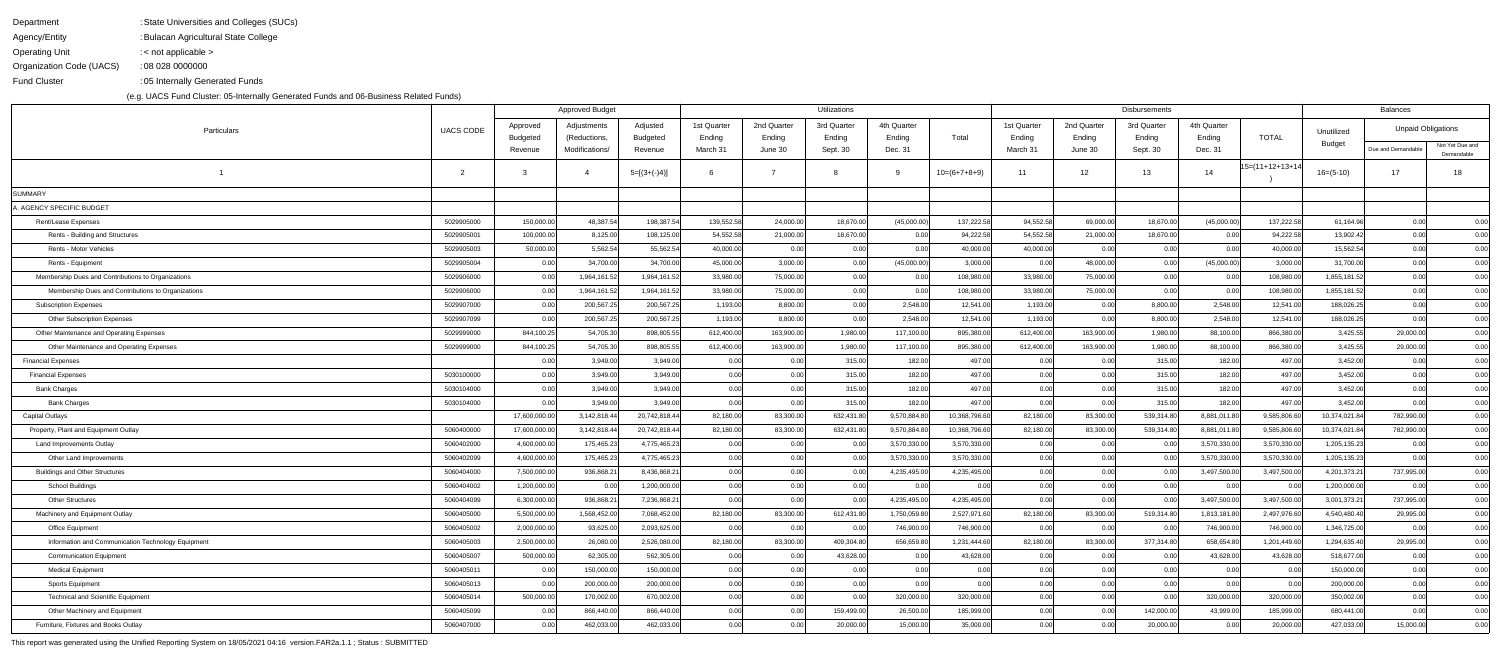| Department               | : State Universities and Colleges (SUCs) |
|--------------------------|------------------------------------------|
| Agency/Entity            | : Bulacan Agricultural State College     |
| <b>Operating Unit</b>    | : $\lt$ not applicable $\gt$             |
| Organization Code (UACS) | : 08 028 0000000                         |
| <b>Fund Cluster</b>      | :05 Internally Generated Funds           |

|                                                    |                  | <b>Approved Budget</b> |                             |                             |                       |                       | <b>Utilizations</b>   |                       |                | <b>Disbursements</b>  |                       |                       |                   |                   |               | Balances                  |                               |  |
|----------------------------------------------------|------------------|------------------------|-----------------------------|-----------------------------|-----------------------|-----------------------|-----------------------|-----------------------|----------------|-----------------------|-----------------------|-----------------------|-------------------|-------------------|---------------|---------------------------|-------------------------------|--|
| Particulars                                        | <b>UACS CODE</b> | Approved<br>Budgeted   | Adjustments<br>(Reductions, | Adjusted<br><b>Budgeted</b> | 1st Quarter<br>Ending | 2nd Quarter<br>Ending | 3rd Quarter<br>Ending | 4th Quarter<br>Ending | Total          | 1st Quarter<br>Ending | 2nd Quarter<br>Ending | 3rd Quarter<br>Ending | 4th Quarter       | <b>TOTAL</b>      | Unutilized    | <b>Unpaid Obligations</b> |                               |  |
|                                                    |                  | Revenue                | Modifications/              | Revenue                     | March 31              | June 30               | Sept. 30              | Dec. 31               |                | March 31              | June 30               | Sept. 30              | Ending<br>Dec. 31 |                   | Budget        | Due and Demandable        | Not Yet Due and<br>Demandable |  |
|                                                    | $\overline{2}$   |                        |                             | $5=[(3+(-)4)]$              |                       |                       |                       |                       | $10=(6+7+8+9)$ | 11                    | 12                    | 13                    | 14                | $15=(11+12+13+1)$ | $16=(5-10)$   | 17                        | 18                            |  |
| SUMMARY                                            |                  |                        |                             |                             |                       |                       |                       |                       |                |                       |                       |                       |                   |                   |               |                           |                               |  |
| . AGENCY SPECIFIC BUDGET                           |                  |                        |                             |                             |                       |                       |                       |                       |                |                       |                       |                       |                   |                   |               |                           |                               |  |
| Rent/Lease Expenses                                | 5029905000       | 150,000.00             | 48,387.54                   | 198,387.54                  | 139,552.58            | 24,000.00             | 18,670.00             | (45,000.00)           | 137,222.58     | 94,552.58             | 69,000.00             | 18,670.00             | (45,000.00)       | 137,222.58        | 61,164.96     | 0.00                      | 0.00                          |  |
| Rents - Building and Structures                    | 5029905001       | 100,000.00             | 8,125.00                    | 108,125.00                  | 54,552.58             | 21,000.00             | 18,670.00             | 0.00                  | 94,222.58      | 54,552.58             | 21,000.00             | 18,670.00             | 0.00              | 94,222.58         | 13,902.42     | 0.00                      | 0.00                          |  |
| Rents - Motor Vehicles                             | 5029905003       | 50,000.00              | 5,562.54                    | 55,562.54                   | 40,000.00             | 0.00                  | 0.00                  | 0.00                  | 40,000.00      | 40,000.00             | 0.00                  | 0.00                  | 0.00              | 40,000.00         | 15,562.54     | 0.00                      | 0.00                          |  |
| Rents - Equipment                                  | 5029905004       | 0.00                   | 34,700.00                   | 34,700.00                   | 45,000.00             | 3,000.00              | 0.00                  | (45,000.00)           | 3,000.00       | 0.00                  | 48,000.00             | 0.00                  | (45,000.00)       | 3,000.00          | 31,700.00     | 0.00                      | 0.00                          |  |
| Membership Dues and Contributions to Organizations | 5029906000       | 0.00                   | 1,964,161.52                | 1,964,161.52                | 33,980.00             | 75,000.00             | 0.00                  | 0.00                  | 108,980.00     | 33,980.00             | 75,000.00             | 0.00                  | 0.00              | 108,980.00        | 1,855,181.52  | 0.00                      | 0.00                          |  |
| Membership Dues and Contributions to Organizations | 5029906000       | 0.00                   | 1,964,161.52                | 1,964,161.52                | 33,980.00             | 75,000.00             | 0.00                  | 0.00                  | 108,980.00     | 33,980.00             | 75,000.00             | 0.00                  | 0.00              | 108,980.00        | 1,855,181.52  | 0.00                      | 0.00                          |  |
| <b>Subscription Expenses</b>                       | 5029907000       | 0.00                   | 200,567.25                  | 200,567.25                  | 1,193.00              | 8,800.00              | 0.00                  | 2,548.00              | 12,541.00      | 1,193.00              | 0.00                  | 8,800.00              | 2,548.00          | 12,541.00         | 188,026.25    | 0.00                      | 0.00                          |  |
| <b>Other Subscription Expenses</b>                 | 5029907099       | 0.00                   | 200,567.25                  | 200,567.25                  | 1,193.00              | 8,800.00              | 0.00                  | 2,548.00              | 12,541.00      | 1,193.00              | 0.00                  | 8,800.00              | 2,548.00          | 12,541.00         | 188,026.25    | 0.00                      | 0.00                          |  |
| Other Maintenance and Operating Expenses           | 5029999000       | 844,100.25             | 54,705.30                   | 898,805.55                  | 612,400.00            | 163,900.00            | 1,980.00              | 117,100.00            | 895,380.00     | 612,400.00            | 163,900.00            | 1,980.00              | 88,100.00         | 866,380.00        | 3,425.55      | 29,000.00                 | 0.00                          |  |
| Other Maintenance and Operating Expenses           | 5029999000       | 844,100.25             | 54,705.30                   | 898,805.55                  | 612,400.00            | 163,900.00            | 1,980.00              | 117,100.00            | 895,380.00     | 612,400.00            | 163,900.00            | 1,980.00              | 88,100.00         | 866,380.00        | 3,425.55      | 29,000.00                 | 0.00                          |  |
| <b>Financial Expenses</b>                          |                  | 0.00                   | 3,949.00                    | 3,949.00                    | 0.00                  | 0.00                  | 315.00                | 182.00                | 497.00         | 0.00                  | 0.00                  | 315.00                | 182.00            | 497.00            | 3,452.00      | 0.00                      | 0.00                          |  |
| <b>Financial Expenses</b>                          | 5030100000       | 0.00                   | 3,949.00                    | 3,949.00                    | 0.00                  | 0.00                  | 315.00                | 182.00                | 497.00         | 0.00                  | 0.00                  | 315.00                | 182.00            | 497.00            | 3,452.00      | 0.00                      | 0.00                          |  |
| <b>Bank Charges</b>                                | 5030104000       | 0.00                   | 3,949.00                    | 3,949.00                    | 0.00                  | 0.00                  | 315.00                | 182.00                | 497.00         | 0.00                  | 0.00                  | 315.00                | 182.00            | 497.00            | 3,452.00      | 0.00                      | 0.00                          |  |
| <b>Bank Charges</b>                                | 5030104000       | 0.00                   | 3,949.00                    | 3,949.00                    | 0.00                  | 0.00                  | 315.00                | 182.00                | 497.00         | 0.00                  | 0.00                  | 315.00                | 182.00            | 497.00            | 3,452.00      | 0.00                      | 0.00                          |  |
| Capital Outlays                                    |                  | 17,600,000.00          | 3,142,818.44                | 20,742,818.44               | 82,180.00             | 83,300.00             | 632,431.80            | 9,570,884.80          | 10,368,796.60  | 82,180.00             | 83,300.00             | 539,314.80            | 8,881,011.80      | 9,585,806.6       | 10,374,021.84 | 782,990.00                | 0.00                          |  |
| Property, Plant and Equipment Outlay               | 5060400000       | 17,600,000.00          | 3,142,818.44                | 20,742,818.44               | 82,180.00             | 83,300.00             | 632,431.80            | 9,570,884.80          | 10,368,796.60  | 82,180.00             | 83,300.00             | 539,314.80            | 8,881,011.80      | 9,585,806.6       | 10,374,021.84 | 782,990.00                | 0.00                          |  |
| Land Improvements Outlay                           | 5060402000       | 4,600,000.00           | 175,465.23                  | 4,775,465.23                | 0.00                  | 0.00                  | 0.00                  | 3,570,330.00          | 3,570,330.00   | 0.00                  | 0.00                  | 0.00                  | 3,570,330.00      | 3,570,330.00      | 1,205,135.23  | 0.00                      | 0.00                          |  |
| Other Land Improvements                            | 5060402099       | 4,600,000.00           | 175,465.23                  | 4,775,465.23                | 0.00                  | 0.00                  | 0.00                  | 3,570,330.00          | 3,570,330.00   | 0.00                  | 0.00                  | 0.00                  | 3,570,330.00      | 3,570,330.0       | 1,205,135.23  | 0.00                      | 0.00                          |  |
| <b>Buildings and Other Structures</b>              | 5060404000       | 7,500,000.00           | 936,868.21                  | 8,436,868.21                | 0.00                  | 0.00                  | 0.00                  | 4,235,495.00          | 4,235,495.00   | 0.00                  | 0.00                  | 0.00                  | 3,497,500.00      | 3,497,500.00      | 4,201,373.21  | 737,995.00                | 0.00                          |  |
| School Buildings                                   | 5060404002       | 1,200,000.00           | 0.00                        | 1,200,000.00                | 0.00                  | 0.00                  | 0.00                  | 0.001                 | 0.00           | 0.00                  | 0.00                  | 0.00                  | 0.00              | 0.00              | 1,200,000.00  | 0.00                      | 0.00                          |  |
| <b>Other Structures</b>                            | 5060404099       | 6,300,000.00           | 936,868.21                  | 7,236,868.21                | 0.00                  | 0.00                  | 0.00                  | 4,235,495.00          | 4,235,495.00   | 0.00                  | 0.00                  | 0.00                  | 3,497,500.00      | 3,497,500.0       | 3,001,373.21  | 737,995.00                | 0.00                          |  |
| Machinery and Equipment Outlay                     | 5060405000       | 5,500,000.00           | 1,568,452.00                | 7,068,452.00                | 82,180.00             | 83,300.00             | 612,431.80            | 1,750,059.80          | 2,527,971.60   | 82,180.00             | 83,300.00             | 519,314.80            | 1,813,181.80      | 2,497,976.60      | 4,540,480.40  | 29,995.00                 | 0.00                          |  |
| Office Equipment                                   | 5060405002       | 2,000,000.00           | 93,625.00                   | 2,093,625.00                | 0.00                  | 0.00                  | 0.00                  | 746,900.00            | 746,900.00     | 0.00                  | 0.00                  | 0.00                  | 746,900.00        | 746,900.00        | 1,346,725.00  | 0.00                      | 0.00                          |  |
| Information and Communication Technology Equipment | 5060405003       | 2,500,000.00           | 26,080.00                   | 2,526,080.00                | 82,180.00             | 83,300.00             | 409,304.80            | 656,659.80            | 1,231,444.60   | 82,180.00             | 83,300.00             | 377,314.80            | 658,654.80        | 1,201,449.60      | 1,294,635.40  | 29,995.00                 | 0.00                          |  |
| <b>Communication Equipment</b>                     | 5060405007       | 500,000.00             | 62,305.00                   | 562,305.00                  | 0.00                  | 0.00                  | 43,628.00             | 0.00                  | 43,628.00      | 0.00                  | 0.00                  | 0.00                  | 43,628.00         | 43,628.00         | 518,677.00    | 0.00                      | 0.00                          |  |
| <b>Medical Equipment</b>                           | 5060405011       | 0.00                   | 150,000.00                  | 150,000.00                  | 0.00                  | 0.00                  | 0.00                  | 0.00                  | 0.00           | 0.00                  | 0.00                  | 0.00                  | 0.00              | 0.00              | 150,000.00    | 0.00                      | 0.00                          |  |
| Sports Equipment                                   | 5060405013       | 0.00                   | 200,000.00                  | 200,000.00                  | 0.00                  | 0.00                  | 0.00                  | 0.00                  | 0.00           | 0.00                  | 0.00                  | 0.00                  | 0.00              | 0.00              | 200,000.00    | 0.00                      | 0.00                          |  |
| <b>Technical and Scientific Equipment</b>          | 5060405014       | 500,000.00             | 170,002.00                  | 670,002.00                  | 0.00                  | 0.00                  | 0.00                  | 320,000.00            | 320,000.00     | 0.00                  | 0.00                  | 0.00                  | 320,000.00        | 320,000.00        | 350,002.00    | 0.00                      | 0.00                          |  |
| Other Machinery and Equipment                      | 5060405099       | 0.00                   | 866,440.00                  | 866,440.00                  | 0.00                  | 0.00                  | 159,499.00            | 26,500.00             | 185,999.00     | 0.00                  | 0.00                  | 142,000.00            | 43,999.00         | 185,999.00        | 680,441.00    | 0.00                      | 0.00                          |  |
| Furniture, Fixtures and Books Outlay               | 5060407000       | 0.00                   | 462,033.00                  | 462,033.00                  | 0.00                  | 0.00                  | 20,000.00             | 15,000.00             | 35,000.00      | 0.00                  | 0.00                  | 20,000.00             | 0.00              | 20,000.00         | 427,033.00    | 15,000.00                 | 0.00                          |  |

This report was generated using the Unified Reporting System on 18/05/2021 04:16 version.FAR2a.1.1 ; Status : SUBMITTED